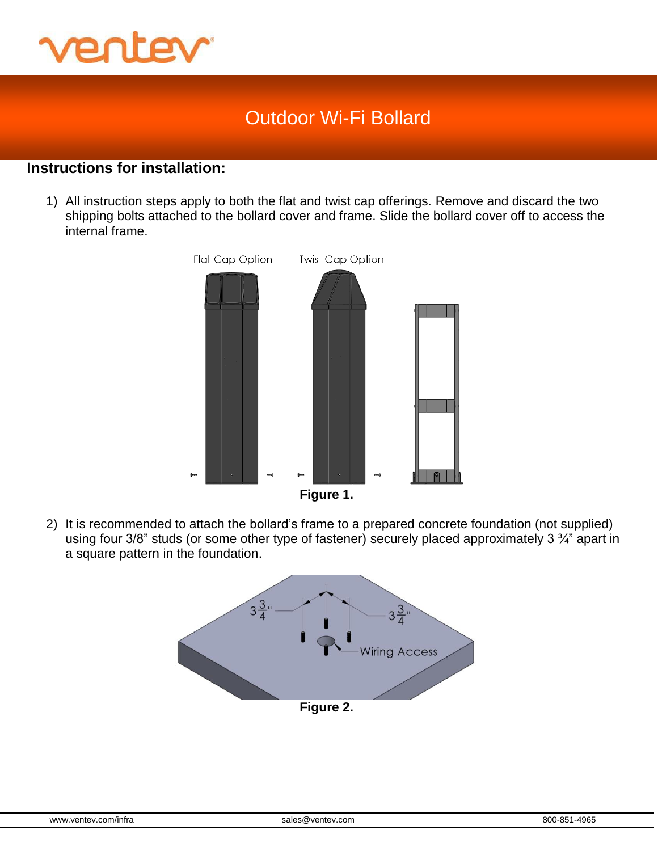

### **Instructions for installation:**

1) All instruction steps apply to both the flat and twist cap offerings. Remove and discard the two shipping bolts attached to the bollard cover and frame. Slide the bollard cover off to access the internal frame.



2) It is recommended to attach the bollard's frame to a prepared concrete foundation (not supplied) using four 3/8" studs (or some other type of fastener) securely placed approximately 3  $\frac{3}{4}$ " apart in a square pattern in the foundation.

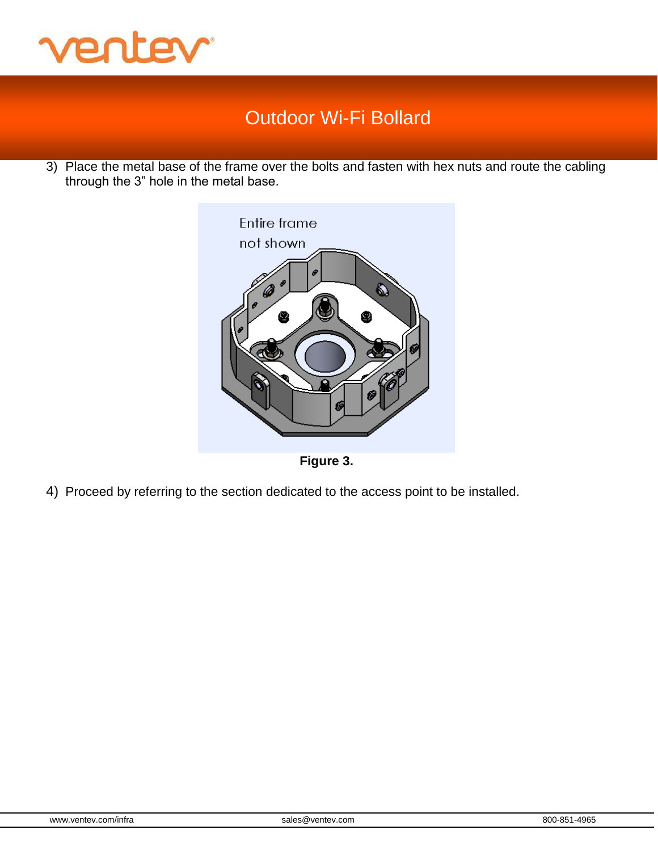

3) Place the metal base of the frame over the bolts and fasten with hex nuts and route the cabling through the 3" hole in the metal base.





4) Proceed by referring to the section dedicated to the access point to be installed.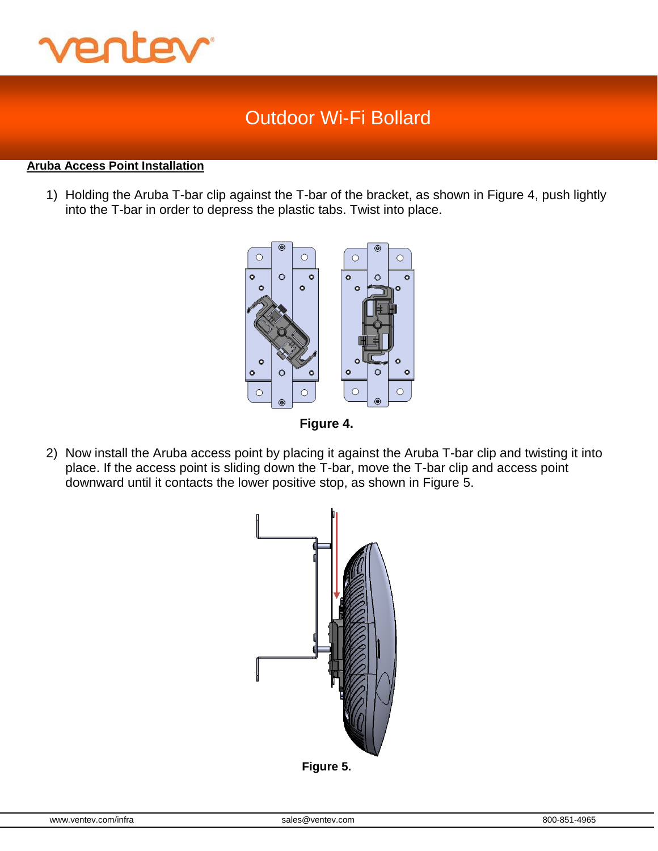

#### **Aruba Access Point Installation**

1) Holding the Aruba T-bar clip against the T-bar of the bracket, as shown in Figure 4, push lightly into the T-bar in order to depress the plastic tabs. Twist into place.



**Figure 4.**

2) Now install the Aruba access point by placing it against the Aruba T-bar clip and twisting it into place. If the access point is sliding down the T-bar, move the T-bar clip and access point downward until it contacts the lower positive stop, as shown in Figure 5.



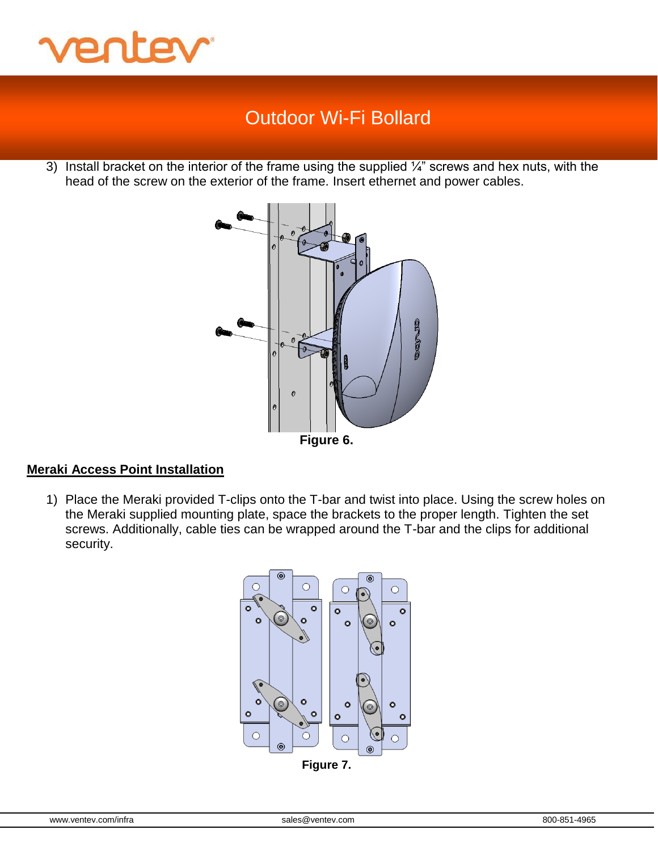

3) Install bracket on the interior of the frame using the supplied  $\frac{1}{4}$ " screws and hex nuts, with the head of the screw on the exterior of the frame. Insert ethernet and power cables.



#### **Meraki Access Point Installation**

1) Place the Meraki provided T-clips onto the T-bar and twist into place. Using the screw holes on the Meraki supplied mounting plate, space the brackets to the proper length. Tighten the set screws. Additionally, cable ties can be wrapped around the T-bar and the clips for additional security.

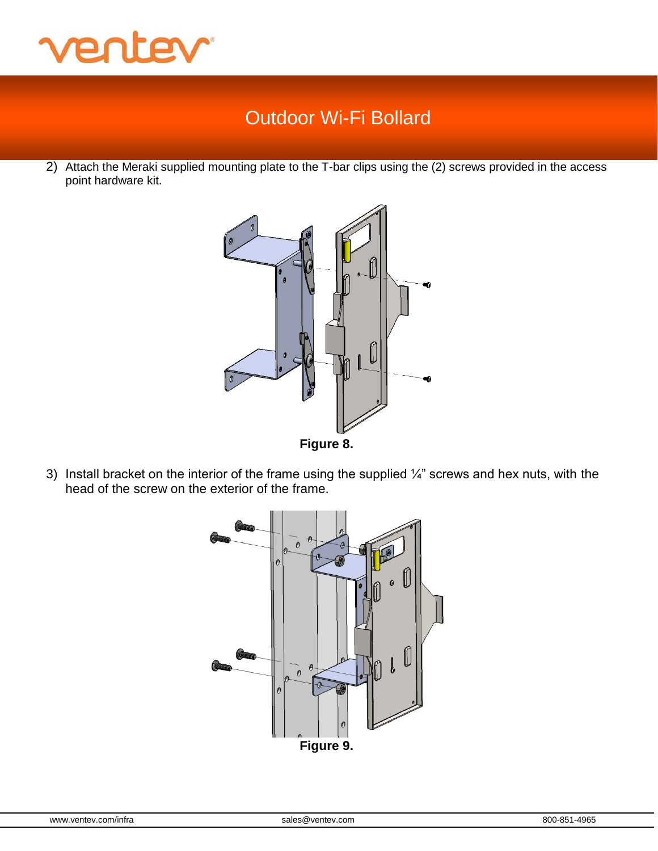

2) Attach the Meraki supplied mounting plate to the T-bar clips using the (2) screws provided in the access point hardware kit.





3) Install bracket on the interior of the frame using the supplied  $\frac{1}{4}$ " screws and hex nuts, with the head of the screw on the exterior of the frame.

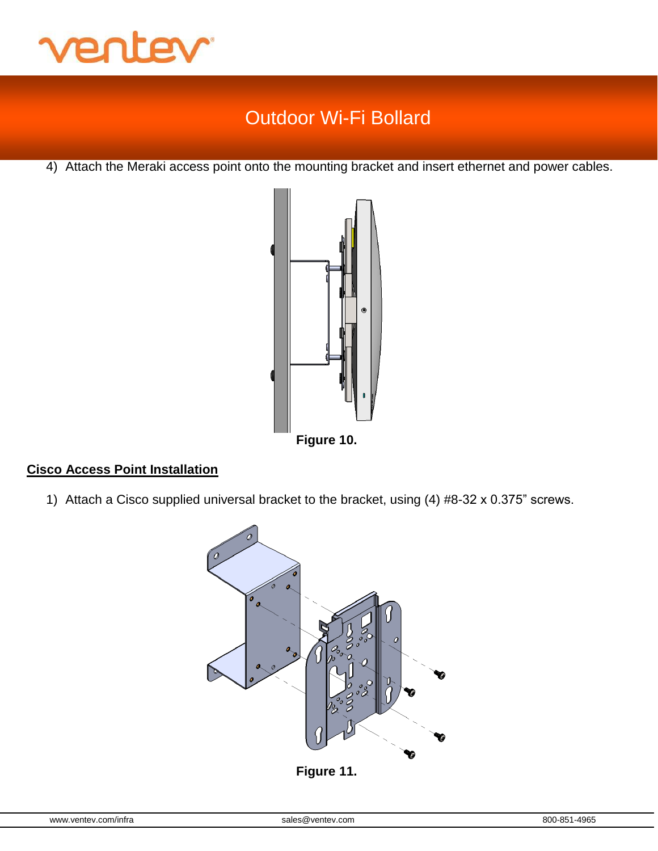

4) Attach the Meraki access point onto the mounting bracket and insert ethernet and power cables.



### **Cisco Access Point Installation**

1) Attach a Cisco supplied universal bracket to the bracket, using (4) #8-32 x 0.375" screws.

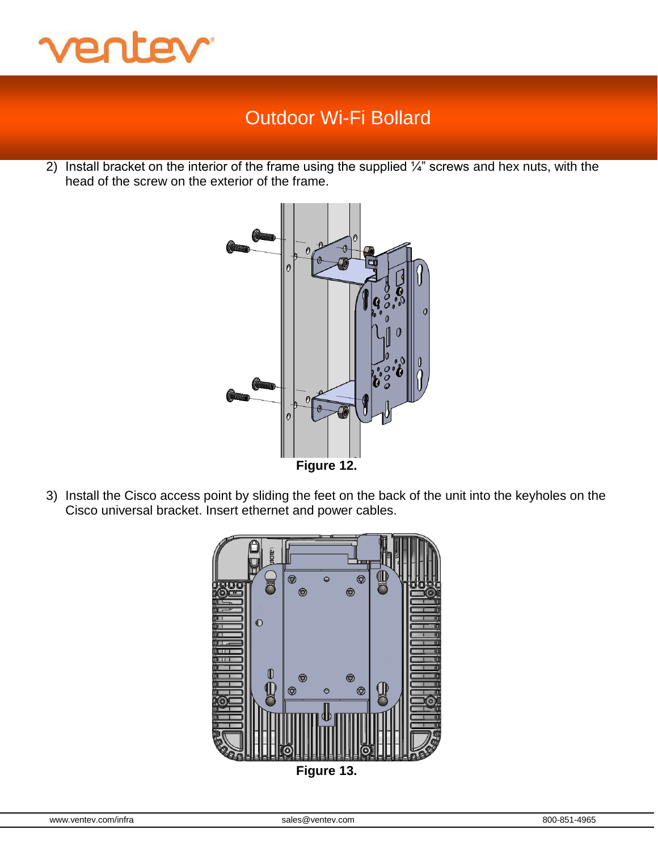

2) Install bracket on the interior of the frame using the supplied  $\frac{1}{4}$ " screws and hex nuts, with the head of the screw on the exterior of the frame.



3) Install the Cisco access point by sliding the feet on the back of the unit into the keyholes on the Cisco universal bracket. Insert ethernet and power cables.



**Figure 13.**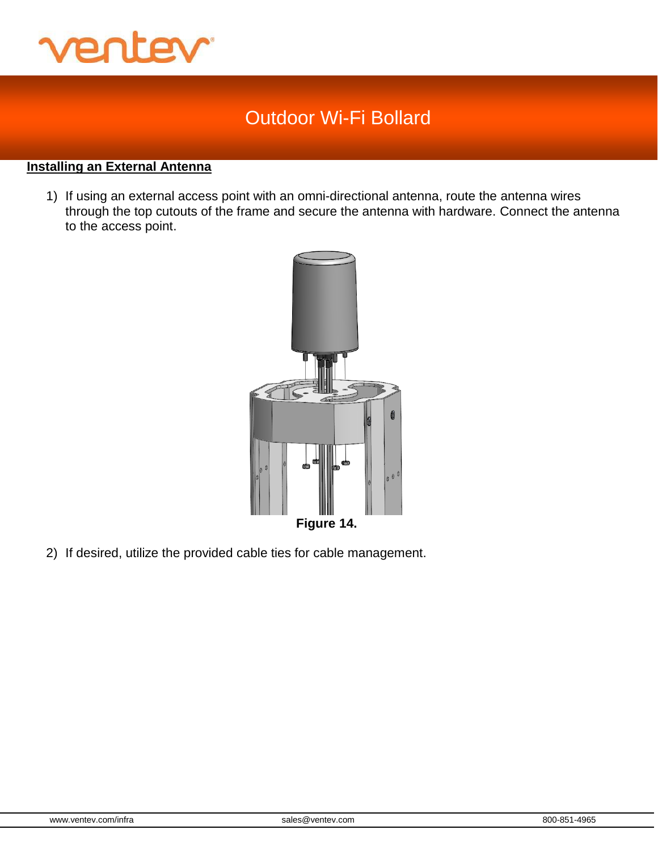

### **Installing an External Antenna**

1) If using an external access point with an omni-directional antenna, route the antenna wires through the top cutouts of the frame and secure the antenna with hardware. Connect the antenna to the access point.



2) If desired, utilize the provided cable ties for cable management.